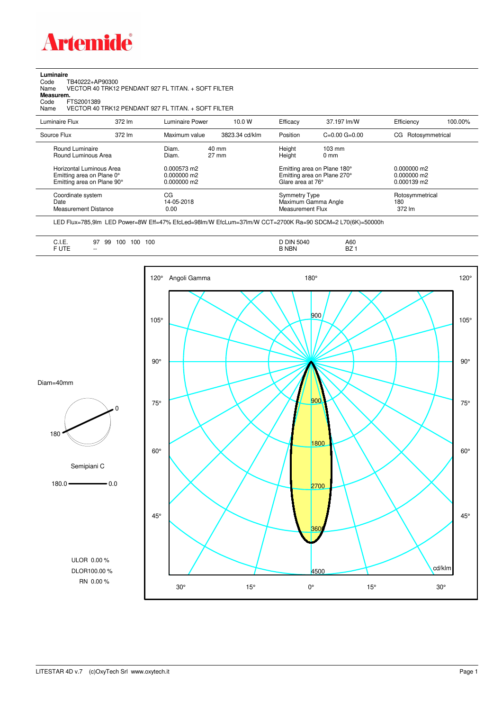

**Luminaire**

| Code<br>TB40222+AP90300<br>VECTOR 40 TRK12 PENDANT 927 FL TITAN. + SOFT FILTER<br>Name<br>Measurem.<br>Code<br>FTS2001389<br>VECTOR 40 TRK12 PENDANT 927 FL TITAN. + SOFT FILTER<br>Name |        |                                           |                          |                                                                        |                                                            |                                             |         |  |  |
|------------------------------------------------------------------------------------------------------------------------------------------------------------------------------------------|--------|-------------------------------------------|--------------------------|------------------------------------------------------------------------|------------------------------------------------------------|---------------------------------------------|---------|--|--|
| Luminaire Flux                                                                                                                                                                           | 372 lm | Luminaire Power                           | 10.0 W                   | Efficacy                                                               | 37.197 lm/W                                                | Efficiency                                  | 100.00% |  |  |
| Source Flux                                                                                                                                                                              | 372 lm | Maximum value                             | 3823.34 cd/klm           | Position                                                               | $C=0.00$ $G=0.00$                                          | Rotosymmetrical<br>CG.                      |         |  |  |
| Round Luminaire<br>Round Luminous Area                                                                                                                                                   |        | Diam.<br>Diam.                            | $40 \text{ mm}$<br>27 mm | Height<br>Height                                                       | $103 \text{ mm}$<br>0 <sub>mm</sub>                        |                                             |         |  |  |
| Horizontal Luminous Area<br>Emitting area on Plane 0°<br>Emitting area on Plane 90°                                                                                                      |        | 0.000573 m2<br>0.000000 m2<br>0.000000 m2 |                          | Glare area at 76°                                                      | Emitting area on Plane 180°<br>Emitting area on Plane 270° | $0.000000$ m2<br>0.000000 m2<br>0.000139 m2 |         |  |  |
| Coordinate system<br>Date<br><b>Measurement Distance</b>                                                                                                                                 |        | CG<br>14-05-2018<br>0.00                  |                          | <b>Symmetry Type</b><br>Maximum Gamma Angle<br><b>Measurement Flux</b> |                                                            | Rotosymmetrical<br>180<br>372 lm            |         |  |  |

LED Flux=785,9lm LED Power=8W Eff=47% EfcLed=98lm/W EfcLum=37lm/W CCT=2700K Ra=90 SDCM=2 L70(6K)=50000h